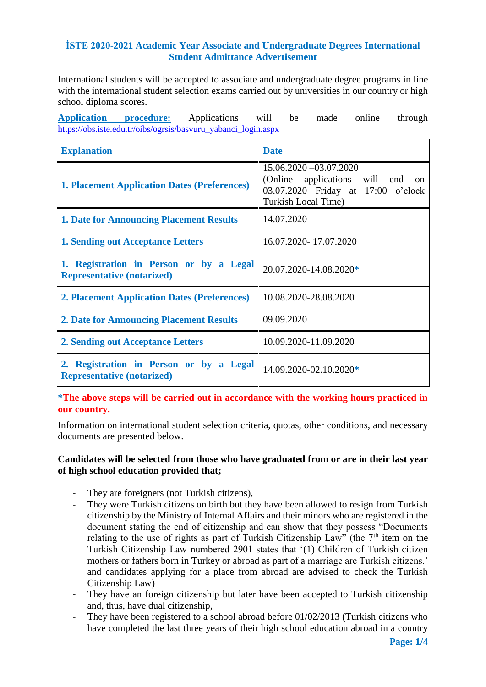### **İSTE 2020-2021 Academic Year Associate and Undergraduate Degrees International Student Admittance Advertisement**

International students will be accepted to associate and undergraduate degree programs in line with the international student selection exams carried out by universities in our country or high school diploma scores.

**Application procedure:** Applications will be made online through [https://obs.iste.edu.tr/oibs/ogrsis/basvuru\\_yabanci\\_login.aspx](https://obs.iste.edu.tr/oibs/ogrsis/basvuru_yabanci_login.aspx)

| <b>Explanation</b>                                                           | <b>Date</b>                                                                                                                                   |  |
|------------------------------------------------------------------------------|-----------------------------------------------------------------------------------------------------------------------------------------------|--|
| <b>1. Placement Application Dates (Preferences)</b>                          | 15.06.2020 - 03.07.2020<br>(Online applications will end<br><sub>on</sub><br>03.07.2020 Friday at 17:00 o'clock<br><b>Turkish Local Time)</b> |  |
| <b>1. Date for Announcing Placement Results</b>                              | 14.07.2020                                                                                                                                    |  |
| <b>1. Sending out Acceptance Letters</b>                                     | 16.07.2020-17.07.2020                                                                                                                         |  |
| 1. Registration in Person or by a Legal<br><b>Representative (notarized)</b> | 20.07.2020-14.08.2020*                                                                                                                        |  |
| <b>2. Placement Application Dates (Preferences)</b>                          | 10.08.2020-28.08.2020                                                                                                                         |  |
| <b>2. Date for Announcing Placement Results</b>                              | 09.09.2020                                                                                                                                    |  |
| 2. Sending out Acceptance Letters                                            | 10.09.2020-11.09.2020                                                                                                                         |  |
| 2. Registration in Person or by a Legal<br><b>Representative (notarized)</b> | 14.09.2020-02.10.2020*                                                                                                                        |  |

**\*The above steps will be carried out in accordance with the working hours practiced in our country.** 

Information on international student selection criteria, quotas, other conditions, and necessary documents are presented below.

### **Candidates will be selected from those who have graduated from or are in their last year of high school education provided that;**

- They are foreigners (not Turkish citizens),
- They were Turkish citizens on birth but they have been allowed to resign from Turkish citizenship by the Ministry of Internal Affairs and their minors who are registered in the document stating the end of citizenship and can show that they possess "Documents relating to the use of rights as part of Turkish Citizenship Law" (the  $7<sup>th</sup>$  item on the Turkish Citizenship Law numbered 2901 states that '(1) Children of Turkish citizen mothers or fathers born in Turkey or abroad as part of a marriage are Turkish citizens.' and candidates applying for a place from abroad are advised to check the Turkish Citizenship Law)
- They have an foreign citizenship but later have been accepted to Turkish citizenship and, thus, have dual citizenship,
- They have been registered to a school abroad before  $01/02/2013$  (Turkish citizens who have completed the last three years of their high school education abroad in a country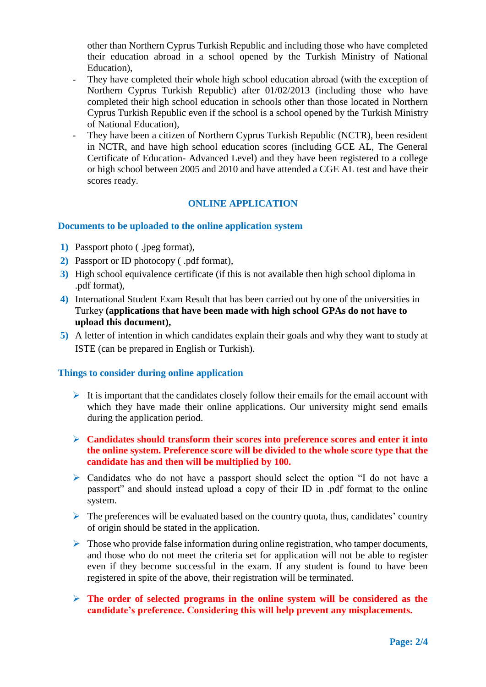other than Northern Cyprus Turkish Republic and including those who have completed their education abroad in a school opened by the Turkish Ministry of National Education),

- They have completed their whole high school education abroad (with the exception of Northern Cyprus Turkish Republic) after 01/02/2013 (including those who have completed their high school education in schools other than those located in Northern Cyprus Turkish Republic even if the school is a school opened by the Turkish Ministry of National Education),
- They have been a citizen of Northern Cyprus Turkish Republic (NCTR), been resident in NCTR, and have high school education scores (including GCE AL, The General Certificate of Education- Advanced Level) and they have been registered to a college or high school between 2005 and 2010 and have attended a CGE AL test and have their scores ready.

### **ONLINE APPLICATION**

#### **Documents to be uploaded to the online application system**

- **1)** Passport photo ( .jpeg format),
- **2)** Passport or ID photocopy ( .pdf format),
- **3)** High school equivalence certificate (if this is not available then high school diploma in .pdf format),
- **4)** International Student Exam Result that has been carried out by one of the universities in Turkey **(applications that have been made with high school GPAs do not have to upload this document),**
- **5)** A letter of intention in which candidates explain their goals and why they want to study at ISTE (can be prepared in English or Turkish).

#### **Things to consider during online application**

- It is important that the candidates closely follow their emails for the email account with which they have made their online applications. Our university might send emails during the application period.
- **Candidates should transform their scores into preference scores and enter it into the online system. Preference score will be divided to the whole score type that the candidate has and then will be multiplied by 100.**
- Candidates who do not have a passport should select the option "I do not have a passport" and should instead upload a copy of their ID in .pdf format to the online system.
- $\triangleright$  The preferences will be evaluated based on the country quota, thus, candidates' country of origin should be stated in the application.
- $\triangleright$  Those who provide false information during online registration, who tamper documents, and those who do not meet the criteria set for application will not be able to register even if they become successful in the exam. If any student is found to have been registered in spite of the above, their registration will be terminated.
- **The order of selected programs in the online system will be considered as the candidate's preference. Considering this will help prevent any misplacements.**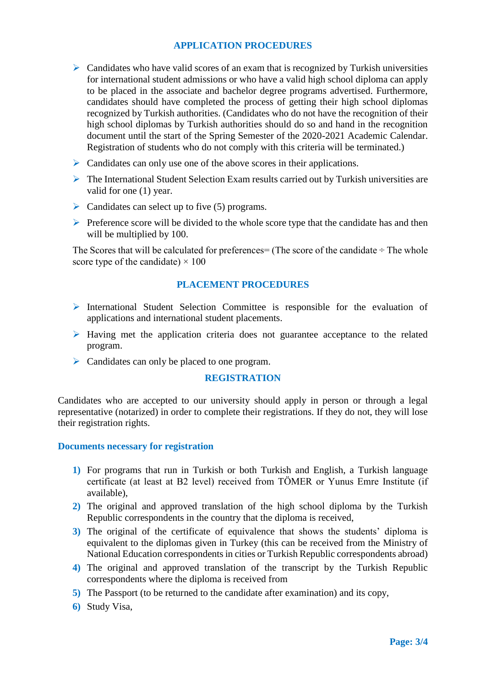# **APPLICATION PROCEDURES**

- $\triangleright$  Candidates who have valid scores of an exam that is recognized by Turkish universities for international student admissions or who have a valid high school diploma can apply to be placed in the associate and bachelor degree programs advertised. Furthermore, candidates should have completed the process of getting their high school diplomas recognized by Turkish authorities. (Candidates who do not have the recognition of their high school diplomas by Turkish authorities should do so and hand in the recognition document until the start of the Spring Semester of the 2020-2021 Academic Calendar. Registration of students who do not comply with this criteria will be terminated.)
- $\triangleright$  Candidates can only use one of the above scores in their applications.
- The International Student Selection Exam results carried out by Turkish universities are valid for one (1) year.
- $\triangleright$  Candidates can select up to five (5) programs.
- $\triangleright$  Preference score will be divided to the whole score type that the candidate has and then will be multiplied by 100.

The Scores that will be calculated for preferences  $=$  (The score of the candidate  $\div$  The whole score type of the candidate)  $\times$  100

## **PLACEMENT PROCEDURES**

- $\triangleright$  International Student Selection Committee is responsible for the evaluation of applications and international student placements.
- $\triangleright$  Having met the application criteria does not guarantee acceptance to the related program.
- ▶ Candidates can only be placed to one program.

#### **REGISTRATION**

Candidates who are accepted to our university should apply in person or through a legal representative (notarized) in order to complete their registrations. If they do not, they will lose their registration rights.

#### **Documents necessary for registration**

- **1)** For programs that run in Turkish or both Turkish and English, a Turkish language certificate (at least at B2 level) received from TÖMER or Yunus Emre Institute (if available),
- **2)** The original and approved translation of the high school diploma by the Turkish Republic correspondents in the country that the diploma is received,
- **3)** The original of the certificate of equivalence that shows the students' diploma is equivalent to the diplomas given in Turkey (this can be received from the Ministry of National Education correspondents in cities or Turkish Republic correspondents abroad)
- **4)** The original and approved translation of the transcript by the Turkish Republic correspondents where the diploma is received from
- **5)** The Passport (to be returned to the candidate after examination) and its copy,
- **6)** Study Visa,